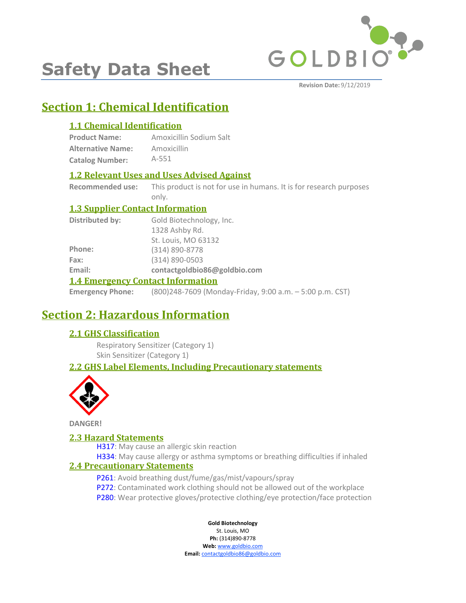

# **Safety Data Sheet**

**Revision Date:** 9/12/2019

# **Section 1: Chemical Identification**

## **1.1 Chemical Identification**

| <b>Product Name:</b>     | Amoxicillin Sodium Salt |
|--------------------------|-------------------------|
| <b>Alternative Name:</b> | Amoxicillin             |
| <b>Catalog Number:</b>   | $A - 551$               |

### **1.2 Relevant Uses and Uses Advised Against**

**Recommended use:** This product is not for use in humans. It is for research purposes only.

### **1.3 Supplier Contact Information**

| <b>Distributed by:</b>                   | Gold Biotechnology, Inc.     |  |
|------------------------------------------|------------------------------|--|
|                                          | 1328 Ashby Rd.               |  |
|                                          | St. Louis, MO 63132          |  |
| Phone:                                   | (314) 890-8778               |  |
| Fax:                                     | $(314) 890 - 0503$           |  |
| Email:                                   | contactgoldbio86@goldbio.com |  |
| <b>1.4 Emergency Contact Information</b> |                              |  |

**Emergency Phone:** (800)248-7609 (Monday-Friday, 9:00 a.m. – 5:00 p.m. CST)

# **Section 2: Hazardous Information**

### **2.1 GHS Classification**

Respiratory Sensitizer (Category 1) Skin Sensitizer (Category 1)

## **2.2 GHS Label Elements, Including Precautionary statements**



**DANGER!**

### **2.3 Hazard Statements**

H317: May cause an allergic skin reaction

H334: May cause allergy or asthma symptoms or breathing difficulties if inhaled

### **2.4 Precautionary Statements**

- P261: Avoid breathing dust/fume/gas/mist/vapours/spray
- P272: Contaminated work clothing should not be allowed out of the workplace
- P280: Wear protective gloves/protective clothing/eye protection/face protection

**Gold Biotechnology**

St. Louis, MO **Ph:** (314)890-8778 **Web:** www.goldbio.com

**Email:** contactgoldbio86@goldbio.com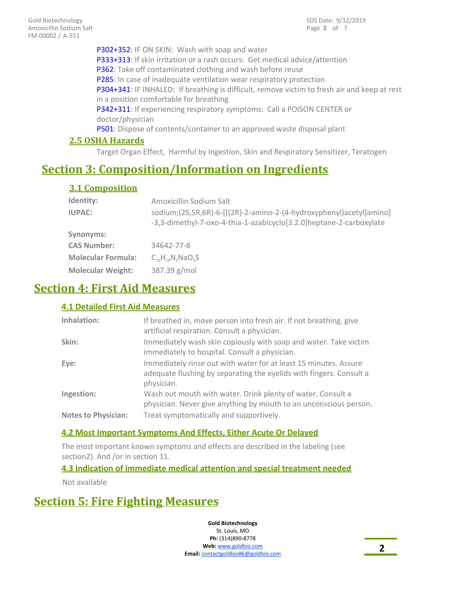P302+352: IF ON SKIN: Wash with soap and water P333+313: If skin irritation or a rash occurs: Get medical advice/attention P362: Take off contaminated clothing and wash before reuse P285: In case of inadequate ventilation wear respiratory protection P304+341: IF INHALED: If breathing is difficult, remove victim to fresh air and keep at rest in a position comfortable for breathing P342+311: If experiencing respiratory symptoms: Call a POISON CENTER or doctor/physician P501: Dispose of contents/container to an approved waste disposal plant

### **2.5 OSHA Hazards**

Target Organ Effect, Harmful by Ingestion, Skin and Respiratory Sensitizer, Teratogen

# **Section 3: Composition/Information on Ingredients**

### **3.1 Composition**

| Identity:                 | Amoxicillin Sodium Salt                                                                                                                     |
|---------------------------|---------------------------------------------------------------------------------------------------------------------------------------------|
| <b>IUPAC:</b>             | sodium;(2S,5R,6R)-6-[[(2R)-2-amino-2-(4-hydroxyphenyl)acetyl]amino]<br>-3,3-dimethyl-7-oxo-4-thia-1-azabicyclo[3.2.0] heptane-2-carboxylate |
| Synonyms:                 |                                                                                                                                             |
| <b>CAS Number:</b>        | 34642-77-8                                                                                                                                  |
| <b>Molecular Formula:</b> | $C_{16}H_{18}N_3NaO_5S$                                                                                                                     |
| <b>Molecular Weight:</b>  | 387.39 g/mol                                                                                                                                |
|                           |                                                                                                                                             |

# **Section 4: First Aid Measures**

#### **4.1 Detailed First Aid Measures**

| Inhalation:                | If breathed in, move person into fresh air. If not breathing, give<br>artificial respiration. Consult a physician.                                    |
|----------------------------|-------------------------------------------------------------------------------------------------------------------------------------------------------|
| Skin:                      | Immediately wash skin copiously with soap and water. Take victim<br>immediately to hospital. Consult a physician.                                     |
| Eye:                       | Immediately rinse out with water for at least 15 minutes. Assure<br>adequate flushing by separating the eyelids with fingers. Consult a<br>physician. |
| Ingestion:                 | Wash out mouth with water. Drink plenty of water. Consult a<br>physician. Never give anything by mouth to an unconscious person.                      |
| <b>Notes to Physician:</b> | Treat symptomatically and supportively.                                                                                                               |

#### **4.2 Most Important Symptoms And Effects, Either Acute Or Delayed**

The most important known symptoms and effects are described in the labeling (see section2). And /or in section 11.

### **4.3 Indication of immediate medical attention and special treatment needed**

Not available

# **Section 5: Fire Fighting Measures**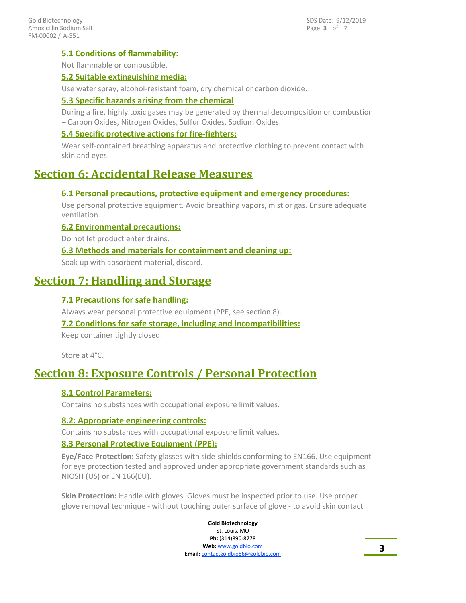### **5.1 Conditions of flammability:**

Not flammable or combustible.

### **5.2 Suitable extinguishing media:**

Use water spray, alcohol-resistant foam, dry chemical or carbon dioxide.

### **5.3 Specific hazards arising from the chemical**

During a fire, highly toxic gases may be generated by thermal decomposition or combustion – Carbon Oxides, Nitrogen Oxides, Sulfur Oxides, Sodium Oxides.

#### **5.4 Specific protective actions for fire-fighters:**

Wear self-contained breathing apparatus and protective clothing to prevent contact with skin and eyes.

# **Section 6: Accidental Release Measures**

#### **6.1 Personal precautions, protective equipment and emergency procedures:**

Use personal protective equipment. Avoid breathing vapors, mist or gas. Ensure adequate ventilation.

#### **6.2 Environmental precautions:**

Do not let product enter drains.

#### **6.3 Methods and materials for containment and cleaning up:**

Soak up with absorbent material, discard.

# **Section 7: Handling and Storage**

### **7.1 Precautions for safe handling:**

Always wear personal protective equipment (PPE, see section 8).

### **7.2 Conditions for safe storage, including and incompatibilities:**

Keep container tightly closed.

Store at 4°C.

# **Section 8: Exposure Controls / Personal Protection**

#### **8.1 Control Parameters:**

Contains no substances with occupational exposure limit values.

#### **8.2: Appropriate engineering controls:**

Contains no substances with occupational exposure limit values.

#### **8.3 Personal Protective Equipment (PPE):**

**Eye/Face Protection:** Safety glasses with side-shields conforming to EN166. Use equipment for eye protection tested and approved under appropriate government standards such as NIOSH (US) or EN 166(EU).

**Skin Protection:** Handle with gloves. Gloves must be inspected prior to use. Use proper glove removal technique - without touching outer surface of glove - to avoid skin contact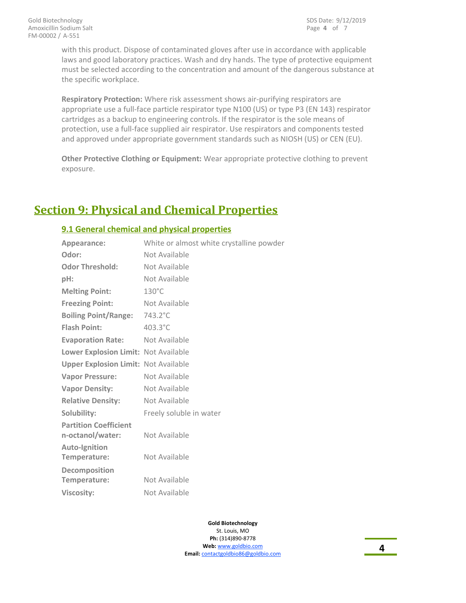with this product. Dispose of contaminated gloves after use in accordance with applicable laws and good laboratory practices. Wash and dry hands. The type of protective equipment must be selected according to the concentration and amount of the dangerous substance at the specific workplace.

**Respiratory Protection:** Where risk assessment shows air-purifying respirators are appropriate use a full-face particle respirator type N100 (US) or type P3 (EN 143) respirator cartridges as a backup to engineering controls. If the respirator is the sole means of protection, use a full-face supplied air respirator. Use respirators and components tested and approved under appropriate government standards such as NIOSH (US) or CEN (EU).

**Other Protective Clothing or Equipment:** Wear appropriate protective clothing to prevent exposure.

# **Section 9: Physical and Chemical Properties**

#### **9.1 General chemical and physical properties**

| Appearance:                                      | White or almost white crystalline powder |
|--------------------------------------------------|------------------------------------------|
| Odor:                                            | Not Available                            |
| <b>Odor Threshold:</b>                           | Not Available                            |
| $pH$ :                                           | Not Available                            |
| <b>Melting Point:</b>                            | $130^{\circ}$ C                          |
| <b>Freezing Point:</b>                           | Not Available                            |
| <b>Boiling Point/Range:</b>                      | $743.2^{\circ}$ C                        |
| <b>Flash Point:</b>                              | 403.3°C                                  |
| <b>Evaporation Rate:</b>                         | Not Available                            |
| Lower Explosion Limit: Not Available             |                                          |
| <b>Upper Explosion Limit: Not Available</b>      |                                          |
| <b>Vapor Pressure:</b>                           | Not Available                            |
| <b>Vapor Density:</b>                            | Not Available                            |
| <b>Relative Density:</b>                         | Not Available                            |
| Solubility:                                      | Freely soluble in water                  |
| <b>Partition Coefficient</b><br>n-octanol/water: | Not Available                            |
| <b>Auto-Ignition</b><br>Temperature:             | Not Available                            |
| Decomposition<br>Temperature:                    | Not Available                            |
| <b>Viscosity:</b>                                | Not Available                            |
|                                                  |                                          |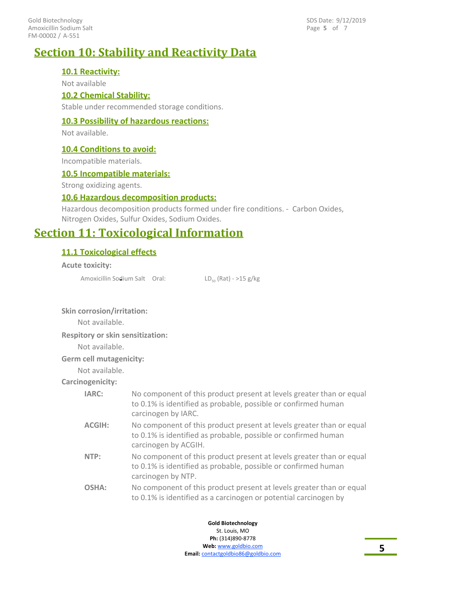FM-00002 / A-551 Gold Biotechnology Amoxicillin Sodium Salt Page **5** of 7 SDS Date: 9/12/2019

# **Section 10: Stability and Reactivity Data**

#### **10.1 Reactivity:**

Not available

#### **10.2 Chemical Stability:**

Stable under recommended storage conditions.

#### **10.3 Possibility of hazardous reactions:**

Not available.

#### **10.4 Conditions to avoid:**

Incompatible materials.

#### **10.5 Incompatible materials:**

Strong oxidizing agents.

#### **10.6 Hazardous decomposition products:**

Hazardous decomposition products formed under fire conditions. - Carbon Oxides, Nitrogen Oxides, Sulfur Oxides, Sodium Oxides.

# **Section 11: Toxicological Information**

#### **11.1 Toxicological effects**

#### **Acute toxicity:**

Amoxicillin Sodium Salt Oral:  $LD_{50}$  (Rat) - >15 g/kg

#### **Skin corrosion/irritation:**

Not available.

**Respitory or skin sensitization:**

Not available.

#### **Germ cell mutagenicity:**

Not available.

#### **Carcinogenicity:**

| IARC:         | No component of this product present at levels greater than or equal<br>to 0.1% is identified as probable, possible or confirmed human<br>carcinogen by IARC.  |
|---------------|----------------------------------------------------------------------------------------------------------------------------------------------------------------|
| <b>ACGIH:</b> | No component of this product present at levels greater than or equal<br>to 0.1% is identified as probable, possible or confirmed human<br>carcinogen by ACGIH. |
| NTP:          | No component of this product present at levels greater than or equal<br>to 0.1% is identified as probable, possible or confirmed human<br>carcinogen by NTP.   |
| OSHA:         | No component of this product present at levels greater than or equal<br>to 0.1% is identified as a carcinogen or potential carcinogen by                       |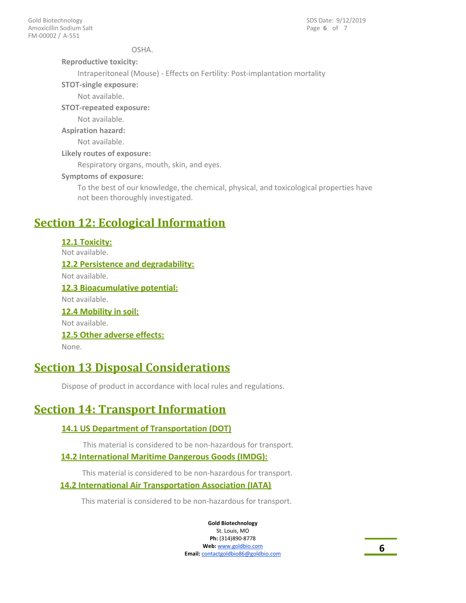OSHA.

**Reproductive toxicity:**

Intraperitoneal (Mouse) - Effects on Fertility: Post-implantation mortality

**STOT-single exposure:**

Not available.

**STOT-repeated exposure:**

Not available.

**Aspiration hazard:**

Not available.

**Likely routes of exposure:**

Respiratory organs, mouth, skin, and eyes.

**Symptoms of exposure:**

To the best of our knowledge, the chemical, physical, and toxicological properties have not been thoroughly investigated.

# **Section 12: Ecological Information**

**12.1 Toxicity:** Not available. **12.2 Persistence and degradability:** Not available. **12.3 Bioacumulative potential:** Not available. **12.4 Mobility in soil:** Not available. **12.5 Other adverse effects:** None.

# **Section 13 Disposal Considerations**

Dispose of product in accordance with local rules and regulations.

# **Section 14: Transport Information**

## **14.1 US Department of Transportation (DOT)**

This material is considered to be non-hazardous for transport.

### **14.2 International Maritime Dangerous Goods (IMDG):**

This material is considered to be non-hazardous for transport.

### **14.2 International Air Transportation Association (IATA)**

This material is considered to be non-hazardous for transport.

**Gold Biotechnology** St. Louis, MO

**Ph:** (314)890-8778 **Web:** www.goldbio.com **Email:** contactgoldbio86@goldbio.com